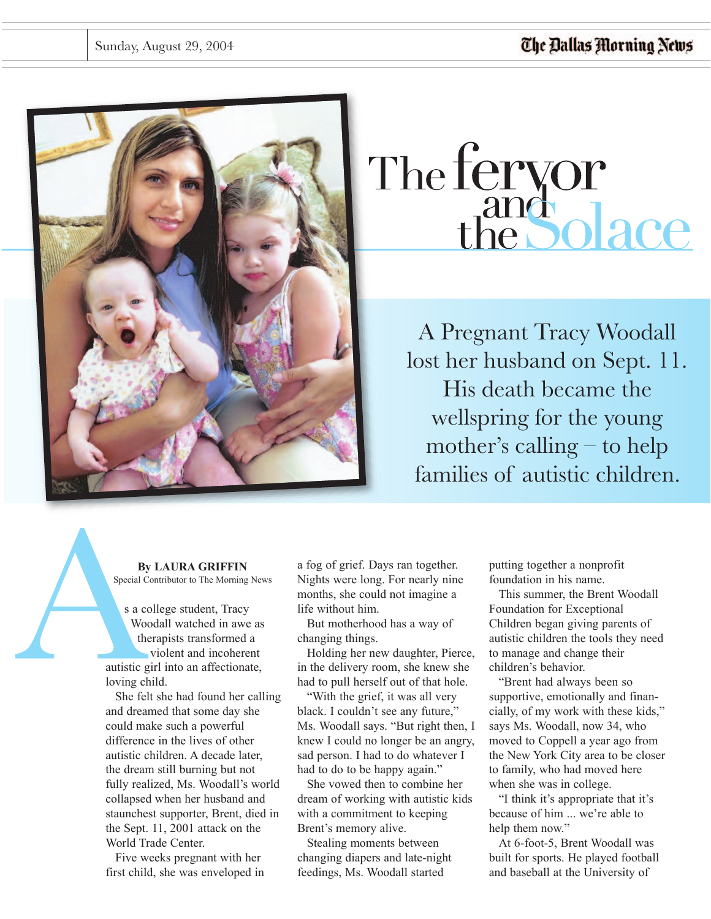

# The fervor<br>the Solace

A Pregnant Tracy Woodall lost her husband on Sept. 11. His death became the wellspring for the young mother's calling – to help families of autistic children.

### **By LAURA GRIFFIN** Special Contributor to The Morning News

s a college student, Tracy Woodall watched in awe as therapists transformed a violent and incoherent autistic girl into an affectionate, loving child.

She felt she had found her calling and dreamed that some day she could make such a powerful difference in the lives of other autistic children. A decade later, the dream still burning but not fully realized, Ms. Woodall's world collapsed when her husband and staunchest supporter, Brent, died in the Sept. 11, 2001 attack on the World Trade Center.

Five weeks pregnant with her first child, she was enveloped in a fog of grief. Days ran together. Nights were long. For nearly nine months, she could not imagine a life without him.

But motherhood has a way of changing things.

Holding her new daughter, Pierce, in the delivery room, she knew she had to pull herself out of that hole.

"With the grief, it was all very black. I couldn't see any future," Ms. Woodall says. "But right then, I knew I could no longer be an angry, sad person. I had to do whatever I had to do to be happy again."

She vowed then to combine her dream of working with autistic kids with a commitment to keeping Brent's memory alive.

Stealing moments between changing diapers and late-night feedings, Ms. Woodall started

putting together a nonprofit foundation in his name.

This summer, the Brent Woodall Foundation for Exceptional Children began giving parents of autistic children the tools they need to manage and change their children's behavior.

"Brent had always been so supportive, emotionally and financially, of my work with these kids," says Ms. Woodall, now 34, who moved to Coppell a year ago from the New York City area to be closer to family, who had moved here when she was in college.

"I think it's appropriate that it's because of him ... we're able to help them now."

At 6-foot-5, Brent Woodall was built for sports. He played football and baseball at the University of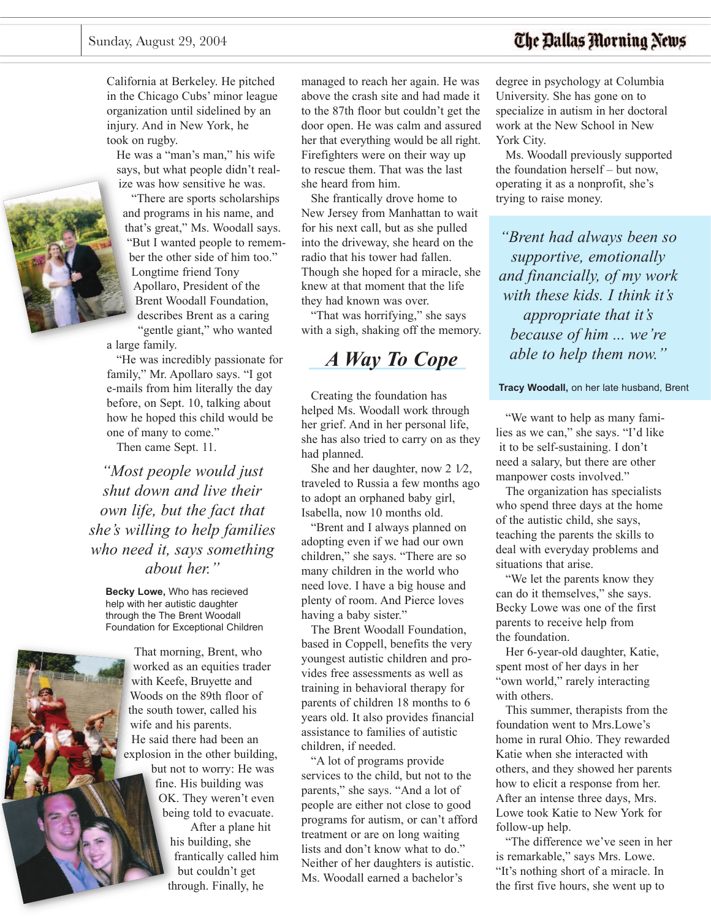## The Dallas Morning News

California at Berkeley. He pitched in the Chicago Cubs' minor league organization until sidelined by an injury. And in New York, he took on rugby.

He was a "man's man," his wife says, but what people didn't realize was how sensitive he was.

ìThere are sports scholarships and programs in his name, and that's great," Ms. Woodall says. ìBut I wanted people to remember the other side of him too." Longtime friend Tony Apollaro, President of the Brent Woodall Foundation, describes Brent as a caring "gentle giant," who wanted a large family.

"He was incredibly passionate for family," Mr. Apollaro says. "I got e-mails from him literally the day before, on Sept. 10, talking about how he hoped this child would be one of many to come."

Then came Sept. 11.

*ìMost people would just shut down and live their own life, but the fact that sheís willing to help families who need it, says something about her.î*

**Becky Lowe,** Who has recieved help with her autistic daughter through the The Brent Woodall Foundation for Exceptional Children



managed to reach her again. He was above the crash site and had made it to the 87th floor but couldn't get the door open. He was calm and assured her that everything would be all right. Firefighters were on their way up to rescue them. That was the last she heard from him.

She frantically drove home to New Jersey from Manhattan to wait for his next call, but as she pulled into the driveway, she heard on the radio that his tower had fallen. Though she hoped for a miracle, she knew at that moment that the life they had known was over.

"That was horrifying," she says with a sigh, shaking off the memory.

# *A Way To Cope*

Creating the foundation has helped Ms. Woodall work through her grief. And in her personal life, she has also tried to carry on as they had planned.

She and her daughter, now 2 1⁄2, traveled to Russia a few months ago to adopt an orphaned baby girl, Isabella, now 10 months old.

"Brent and I always planned on adopting even if we had our own children," she says. "There are so many children in the world who need love. I have a big house and plenty of room. And Pierce loves having a baby sister."

The Brent Woodall Foundation, based in Coppell, benefits the very youngest autistic children and provides free assessments as well as training in behavioral therapy for parents of children 18 months to 6 years old. It also provides financial assistance to families of autistic children, if needed.

"A lot of programs provide" services to the child, but not to the parents," she says. "And a lot of people are either not close to good programs for autism, or can't afford treatment or are on long waiting lists and don't know what to do." Neither of her daughters is autistic. Ms. Woodall earned a bachelor's

degree in psychology at Columbia University. She has gone on to specialize in autism in her doctoral work at the New School in New York City.

Ms. Woodall previously supported the foundation herself  $-$  but now, operating it as a nonprofit, she's trying to raise money.

*ìBrent had always been so supportive, emotionally and financially, of my work with these kids. I think itís appropriate that itís because of him* ... *we're able to help them now.î*

**Tracy Woodall,** on her late husband, Brent

ìWe want to help as many families as we can," she says. "I'd like it to be self-sustaining. I don't need a salary, but there are other manpower costs involved."

The organization has specialists who spend three days at the home of the autistic child, she says, teaching the parents the skills to deal with everyday problems and situations that arise.

ìWe let the parents know they can do it themselves," she says. Becky Lowe was one of the first parents to receive help from the foundation.

Her 6-year-old daughter, Katie, spent most of her days in her "own world," rarely interacting with others.

This summer, therapists from the foundation went to Mrs.Lowe's home in rural Ohio. They rewarded Katie when she interacted with others, and they showed her parents how to elicit a response from her. After an intense three days, Mrs. Lowe took Katie to New York for follow-up help.

"The difference we've seen in her is remarkable," says Mrs. Lowe. "It's nothing short of a miracle. In the first five hours, she went up to